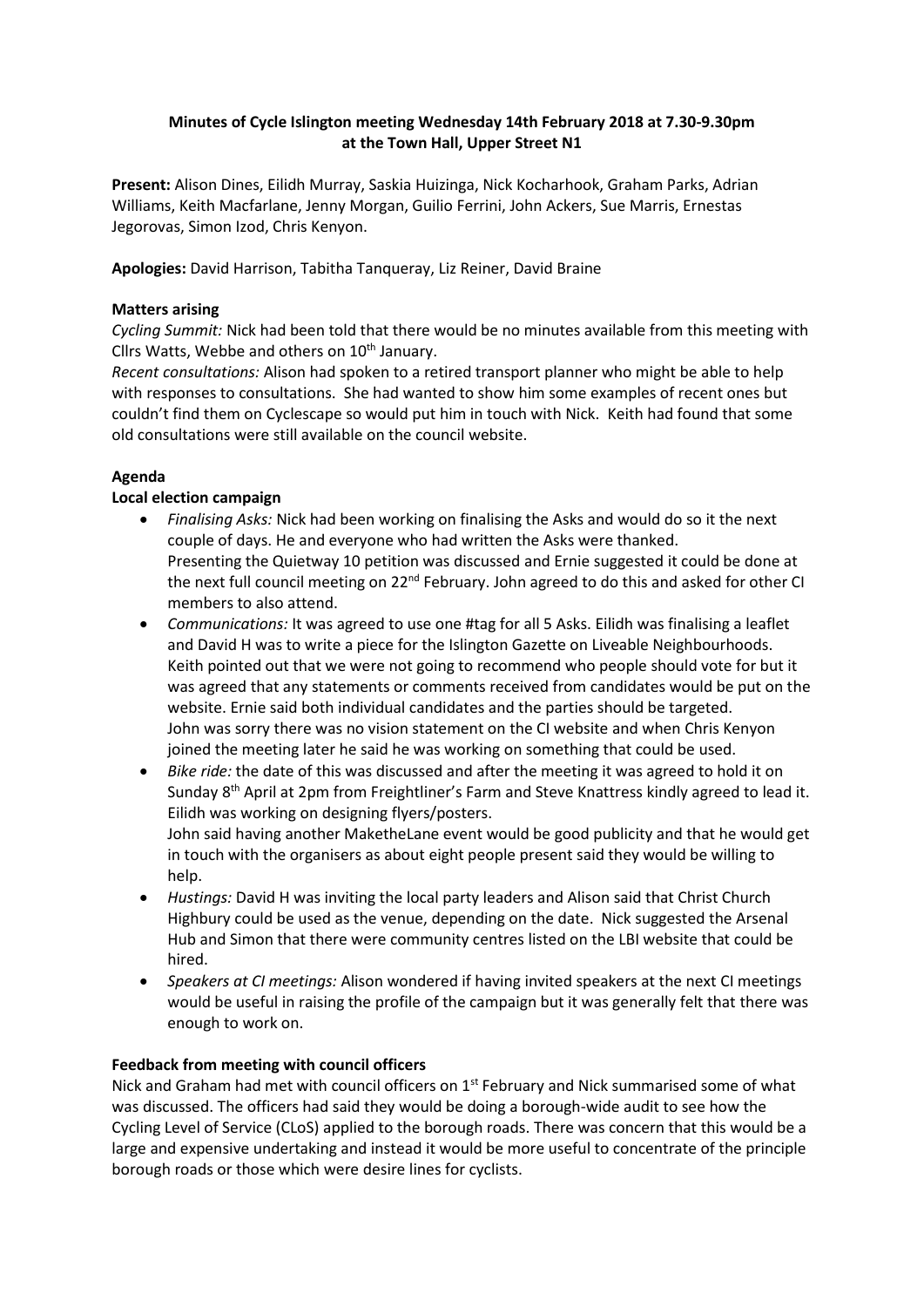# **Minutes of Cycle Islington meeting Wednesday 14th February 2018 at 7.30-9.30pm at the Town Hall, Upper Street N1**

**Present:** Alison Dines, Eilidh Murray, Saskia Huizinga, Nick Kocharhook, Graham Parks, Adrian Williams, Keith Macfarlane, Jenny Morgan, Guilio Ferrini, John Ackers, Sue Marris, Ernestas Jegorovas, Simon Izod, Chris Kenyon.

**Apologies:** David Harrison, Tabitha Tanqueray, Liz Reiner, David Braine

## **Matters arising**

*Cycling Summit:* Nick had been told that there would be no minutes available from this meeting with Cllrs Watts, Webbe and others on  $10<sup>th</sup>$  January.

*Recent consultations:* Alison had spoken to a retired transport planner who might be able to help with responses to consultations. She had wanted to show him some examples of recent ones but couldn't find them on Cyclescape so would put him in touch with Nick. Keith had found that some old consultations were still available on the council website.

## **Agenda**

## **Local election campaign**

- *Finalising Asks:* Nick had been working on finalising the Asks and would do so it the next couple of days. He and everyone who had written the Asks were thanked. Presenting the Quietway 10 petition was discussed and Ernie suggested it could be done at the next full council meeting on 22<sup>nd</sup> February. John agreed to do this and asked for other CI members to also attend.
- *Communications:* It was agreed to use one #tag for all 5 Asks. Eilidh was finalising a leaflet and David H was to write a piece for the Islington Gazette on Liveable Neighbourhoods. Keith pointed out that we were not going to recommend who people should vote for but it was agreed that any statements or comments received from candidates would be put on the website. Ernie said both individual candidates and the parties should be targeted. John was sorry there was no vision statement on the CI website and when Chris Kenyon joined the meeting later he said he was working on something that could be used.
- *Bike ride:* the date of this was discussed and after the meeting it was agreed to hold it on Sunday 8th April at 2pm from Freightliner's Farm and Steve Knattress kindly agreed to lead it. Eilidh was working on designing flyers/posters.

John said having another MaketheLane event would be good publicity and that he would get in touch with the organisers as about eight people present said they would be willing to help.

- *Hustings:* David H was inviting the local party leaders and Alison said that Christ Church Highbury could be used as the venue, depending on the date. Nick suggested the Arsenal Hub and Simon that there were community centres listed on the LBI website that could be hired.
- *Speakers at CI meetings:* Alison wondered if having invited speakers at the next CI meetings would be useful in raising the profile of the campaign but it was generally felt that there was enough to work on.

# **Feedback from meeting with council officers**

Nick and Graham had met with council officers on 1<sup>st</sup> February and Nick summarised some of what was discussed. The officers had said they would be doing a borough-wide audit to see how the Cycling Level of Service (CLoS) applied to the borough roads. There was concern that this would be a large and expensive undertaking and instead it would be more useful to concentrate of the principle borough roads or those which were desire lines for cyclists.